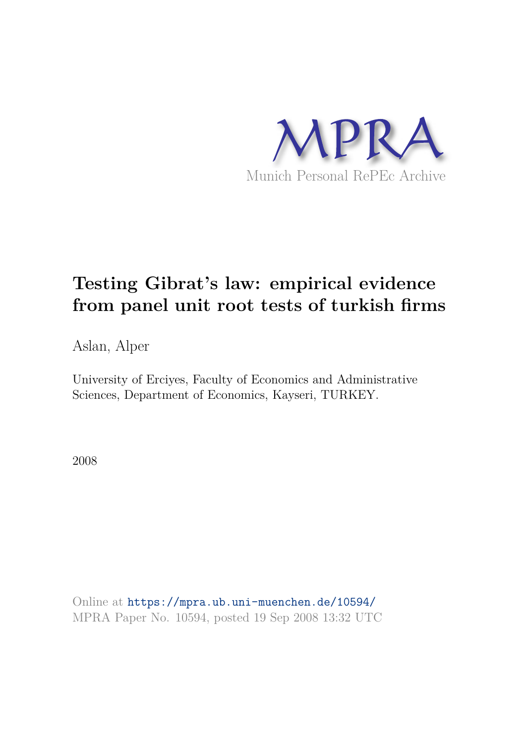

# **Testing Gibrat's law: empirical evidence from panel unit root tests of turkish firms**

Aslan, Alper

University of Erciyes, Faculty of Economics and Administrative Sciences, Department of Economics, Kayseri, TURKEY.

2008

Online at https://mpra.ub.uni-muenchen.de/10594/ MPRA Paper No. 10594, posted 19 Sep 2008 13:32 UTC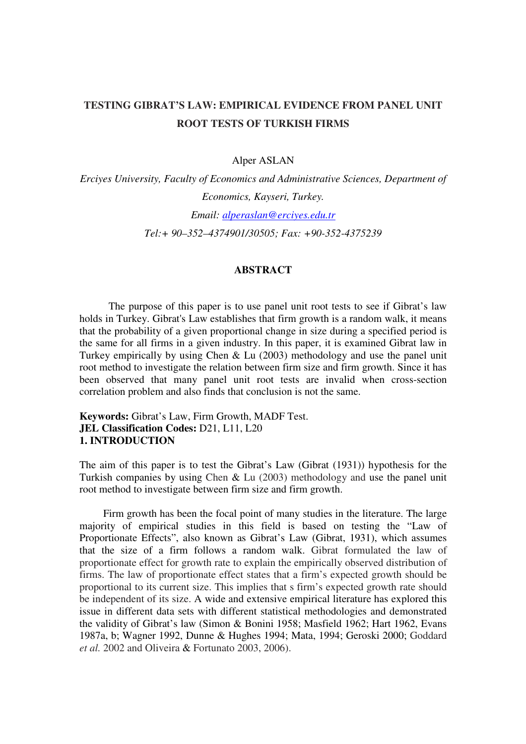# **TESTING GIBRAT'S LAW: EMPIRICAL EVIDENCE FROM PANEL UNIT ROOT TESTS OF TURKISH FIRMS**

## Alper ASLAN

*Erciyes University, Faculty of Economics and Administrative Sciences, Department of Economics, Kayseri, Turkey. Email: alperaslan@erciyes.edu.tr Tel:+ 90–352–4374901/30505; Fax: +90-352-4375239* 

### **ABSTRACT**

 The purpose of this paper is to use panel unit root tests to see if Gibrat's law holds in Turkey. Gibrat's Law establishes that firm growth is a random walk, it means that the probability of a given proportional change in size during a specified period is the same for all firms in a given industry. In this paper, it is examined Gibrat law in Turkey empirically by using Chen & Lu (2003) methodology and use the panel unit root method to investigate the relation between firm size and firm growth. Since it has been observed that many panel unit root tests are invalid when cross-section correlation problem and also finds that conclusion is not the same.

# **Keywords:** Gibrat's Law, Firm Growth, MADF Test. **JEL Classification Codes:** D21, L11, L20 **1. INTRODUCTION**

The aim of this paper is to test the Gibrat's Law (Gibrat (1931)) hypothesis for the Turkish companies by using Chen & Lu (2003) methodology and use the panel unit root method to investigate between firm size and firm growth.

 Firm growth has been the focal point of many studies in the literature. The large majority of empirical studies in this field is based on testing the "Law of Proportionate Effects", also known as Gibrat's Law (Gibrat, 1931), which assumes that the size of a firm follows a random walk. Gibrat formulated the law of proportionate effect for growth rate to explain the empirically observed distribution of firms. The law of proportionate effect states that a firm's expected growth should be proportional to its current size. This implies that s firm's expected growth rate should be independent of its size. A wide and extensive empirical literature has explored this issue in different data sets with different statistical methodologies and demonstrated the validity of Gibrat's law (Simon & Bonini 1958; Masfield 1962; Hart 1962, Evans 1987a, b; Wagner 1992, Dunne & Hughes 1994; Mata, 1994; Geroski 2000; Goddard *et al.* 2002 and Oliveira & Fortunato 2003, 2006).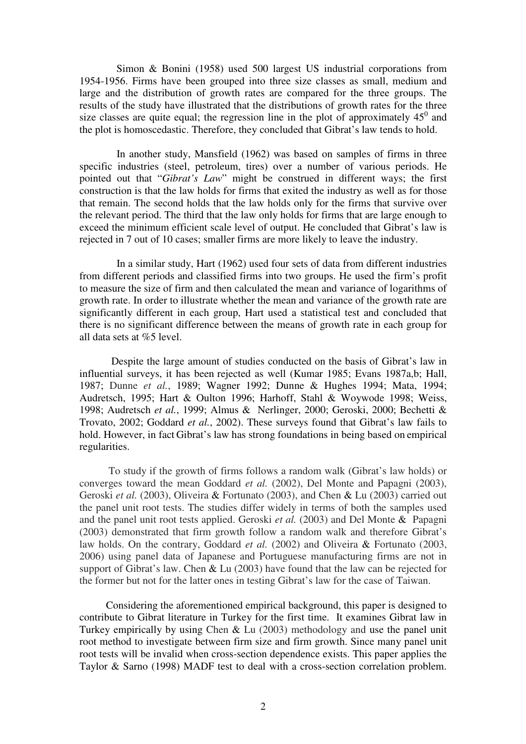Simon & Bonini (1958) used 500 largest US industrial corporations from 1954-1956. Firms have been grouped into three size classes as small, medium and large and the distribution of growth rates are compared for the three groups. The results of the study have illustrated that the distributions of growth rates for the three size classes are quite equal; the regression line in the plot of approximately  $45^{\circ}$  and the plot is homoscedastic. Therefore, they concluded that Gibrat's law tends to hold.

 In another study, Mansfield (1962) was based on samples of firms in three specific industries (steel, petroleum, tires) over a number of various periods. He pointed out that "*Gibrat's Law*" might be construed in different ways; the first construction is that the law holds for firms that exited the industry as well as for those that remain. The second holds that the law holds only for the firms that survive over the relevant period. The third that the law only holds for firms that are large enough to exceed the minimum efficient scale level of output. He concluded that Gibrat's law is rejected in 7 out of 10 cases; smaller firms are more likely to leave the industry.

 In a similar study, Hart (1962) used four sets of data from different industries from different periods and classified firms into two groups. He used the firm's profit to measure the size of firm and then calculated the mean and variance of logarithms of growth rate. In order to illustrate whether the mean and variance of the growth rate are significantly different in each group, Hart used a statistical test and concluded that there is no significant difference between the means of growth rate in each group for all data sets at %5 level.

 Despite the large amount of studies conducted on the basis of Gibrat's law in influential surveys, it has been rejected as well (Kumar 1985; Evans 1987a,b; Hall, 1987; Dunne *et al.*, 1989; Wagner 1992; Dunne & Hughes 1994; Mata, 1994; Audretsch, 1995; Hart & Oulton 1996; Harhoff, Stahl & Woywode 1998; Weiss, 1998; Audretsch *et al.*, 1999; Almus & Nerlinger, 2000; Geroski, 2000; Bechetti & Trovato, 2002; Goddard *et al.*, 2002). These surveys found that Gibrat's law fails to hold. However, in fact Gibrat's law has strong foundations in being based on empirical regularities.

 To study if the growth of firms follows a random walk (Gibrat's law holds) or converges toward the mean Goddard *et al.* (2002), Del Monte and Papagni (2003), Geroski *et al.* (2003), Oliveira & Fortunato (2003), and Chen & Lu (2003) carried out the panel unit root tests. The studies differ widely in terms of both the samples used and the panel unit root tests applied. Geroski *et al.* (2003) and Del Monte & Papagni (2003) demonstrated that firm growth follow a random walk and therefore Gibrat's law holds. On the contrary, Goddard *et al.* (2002) and Oliveira & Fortunato (2003, 2006) using panel data of Japanese and Portuguese manufacturing firms are not in support of Gibrat's law. Chen & Lu (2003) have found that the law can be rejected for the former but not for the latter ones in testing Gibrat's law for the case of Taiwan.

 Considering the aforementioned empirical background, this paper is designed to contribute to Gibrat literature in Turkey for the first time. It examines Gibrat law in Turkey empirically by using Chen & Lu (2003) methodology and use the panel unit root method to investigate between firm size and firm growth. Since many panel unit root tests will be invalid when cross-section dependence exists. This paper applies the Taylor & Sarno (1998) MADF test to deal with a cross-section correlation problem.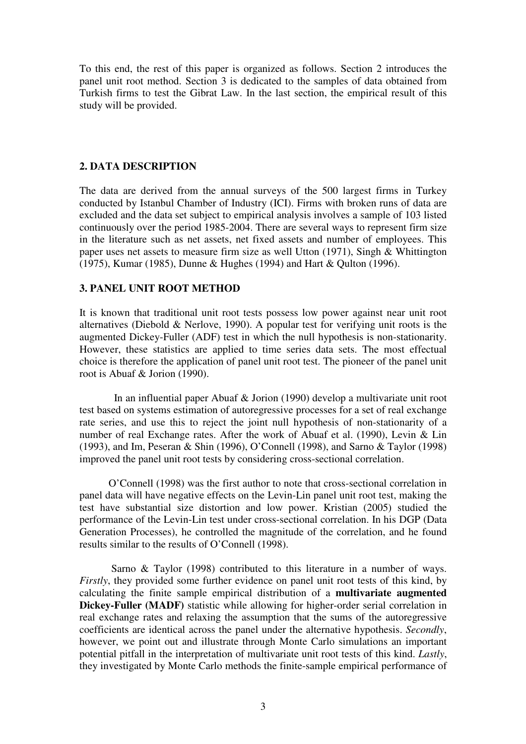To this end, the rest of this paper is organized as follows. Section 2 introduces the panel unit root method. Section 3 is dedicated to the samples of data obtained from Turkish firms to test the Gibrat Law. In the last section, the empirical result of this study will be provided.

# **2. DATA DESCRIPTION**

The data are derived from the annual surveys of the 500 largest firms in Turkey conducted by Istanbul Chamber of Industry (ICI). Firms with broken runs of data are excluded and the data set subject to empirical analysis involves a sample of 103 listed continuously over the period 1985-2004. There are several ways to represent firm size in the literature such as net assets, net fixed assets and number of employees. This paper uses net assets to measure firm size as well Utton (1971), Singh & Whittington (1975), Kumar (1985), Dunne & Hughes (1994) and Hart & Qulton (1996).

# **3. PANEL UNIT ROOT METHOD**

It is known that traditional unit root tests possess low power against near unit root alternatives (Diebold & Nerlove, 1990). A popular test for verifying unit roots is the augmented Dickey-Fuller (ADF) test in which the null hypothesis is non-stationarity. However, these statistics are applied to time series data sets. The most effectual choice is therefore the application of panel unit root test. The pioneer of the panel unit root is Abuaf & Jorion (1990).

 In an influential paper Abuaf & Jorion (1990) develop a multivariate unit root test based on systems estimation of autoregressive processes for a set of real exchange rate series, and use this to reject the joint null hypothesis of non-stationarity of a number of real Exchange rates. After the work of Abuaf et al. (1990), Levin & Lin (1993), and Im, Peseran & Shin (1996), O'Connell (1998), and Sarno & Taylor (1998) improved the panel unit root tests by considering cross-sectional correlation.

 O'Connell (1998) was the first author to note that cross-sectional correlation in panel data will have negative effects on the Levin-Lin panel unit root test, making the test have substantial size distortion and low power. Kristian (2005) studied the performance of the Levin-Lin test under cross-sectional correlation. In his DGP (Data Generation Processes), he controlled the magnitude of the correlation, and he found results similar to the results of O'Connell (1998).

 Sarno & Taylor (1998) contributed to this literature in a number of ways. *Firstly*, they provided some further evidence on panel unit root tests of this kind, by calculating the finite sample empirical distribution of a **multivariate augmented Dickey-Fuller (MADF)** statistic while allowing for higher-order serial correlation in real exchange rates and relaxing the assumption that the sums of the autoregressive coefficients are identical across the panel under the alternative hypothesis. *Secondly*, however, we point out and illustrate through Monte Carlo simulations an important potential pitfall in the interpretation of multivariate unit root tests of this kind. *Lastly*, they investigated by Monte Carlo methods the finite-sample empirical performance of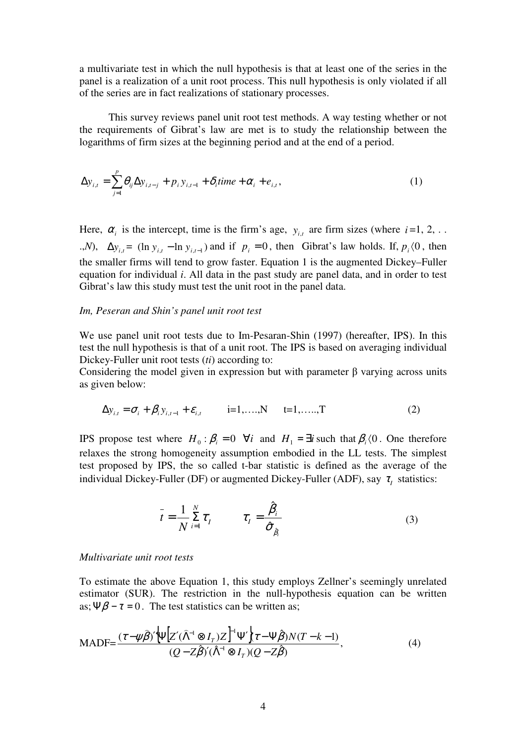a multivariate test in which the null hypothesis is that at least one of the series in the panel is a realization of a unit root process. This null hypothesis is only violated if all of the series are in fact realizations of stationary processes.

 This survey reviews panel unit root test methods. A way testing whether or not the requirements of Gibrat's law are met is to study the relationship between the logarithms of firm sizes at the beginning period and at the end of a period.

$$
\Delta y_{i,t} = \sum_{j=1}^{p} \theta_{ij} \Delta y_{i,t-j} + p_i y_{i,t-1} + \delta_i \text{time} + \alpha_i + e_{i,t},
$$
\n(1)

Here,  $\alpha_i$  is the intercept, time is the firm's age,  $y_{i,t}$  are firm sizes (where  $i=1, 2, ...$ .,*N*),  $\Delta y_{i,t} = (\ln y_{i,t} - \ln y_{i,t-1})$  and if  $p_i = 0$ , then Gibrat's law holds. If,  $p_i \langle 0$ , then the smaller firms will tend to grow faster. Equation 1 is the augmented Dickey–Fuller equation for individual *i*. All data in the past study are panel data, and in order to test Gibrat's law this study must test the unit root in the panel data.

#### *Im, Peseran and Shin's panel unit root test*

We use panel unit root tests due to Im-Pesaran-Shin (1997) (hereafter, IPS). In this test the null hypothesis is that of a unit root. The IPS is based on averaging individual Dickey-Fuller unit root tests (*ti*) according to:

Considering the model given in expression but with parameter  $\beta$  varying across units as given below:

$$
\Delta y_{i,t} = \sigma_i + \beta_i y_{i,t-1} + \varepsilon_{i,t} \qquad i=1,...,N \qquad t=1,......T
$$
 (2)

IPS propose test where  $H_0 : \beta_i = 0 \quad \forall i$  and  $H_1 = \exists i$  such that  $\beta_i$  (0. One therefore relaxes the strong homogeneity assumption embodied in the LL tests. The simplest test proposed by IPS, the so called t-bar statistic is defined as the average of the individual Dickey-Fuller (DF) or augmented Dickey-Fuller (ADF), say  $\tau_I$  statistics:

$$
\bar{t} = \frac{1}{N} \sum_{i=1}^{N} \tau_i \qquad \tau_I = \frac{\hat{\beta}_i}{\hat{\sigma}_{\hat{\beta}_i}}
$$
(3)

#### *Multivariate unit root tests*

To estimate the above Equation 1, this study employs Zellner's seemingly unrelated estimator (SUR). The restriction in the null-hypothesis equation can be written as;  $\Psi \beta - \tau = 0$ . The test statistics can be written as;

$$
\text{MADF} = \frac{(\tau - \psi \hat{\beta})' \Psi \left[ Z'(\hat{\Lambda}^{-1} \otimes I_T) Z \right]^{-1} \Psi' \left\{ \tau - \Psi \hat{\beta} \right\} N(T - k - 1)}{(Q - Z \hat{\beta})'(\hat{\Lambda}^{-1} \otimes I_T)(Q - Z \hat{\beta})},\tag{4}
$$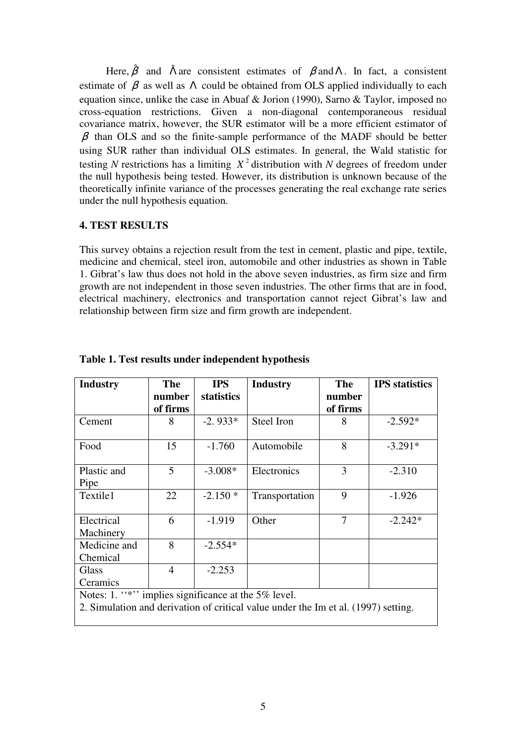Here,  $\hat{\beta}$  and  $\hat{\Lambda}$  are consistent estimates of  $\beta$  and  $\Lambda$ . In fact, a consistent estimate of  $\beta$  as well as  $\Lambda$  could be obtained from OLS applied individually to each equation since, unlike the case in Abuaf & Jorion (1990), Sarno & Taylor, imposed no cross-equation restrictions. Given a non-diagonal contemporaneous residual covariance matrix, however, the SUR estimator will be a more efficient estimator of  $\beta$  than OLS and so the finite-sample performance of the MADF should be better using SUR rather than individual OLS estimates. In general, the Wald statistic for testing *N* restrictions has a limiting  $X^2$  distribution with *N* degrees of freedom under the null hypothesis being tested. However, its distribution is unknown because of the theoretically infinite variance of the processes generating the real exchange rate series under the null hypothesis equation.

# **4. TEST RESULTS**

This survey obtains a rejection result from the test in cement, plastic and pipe, textile, medicine and chemical, steel iron, automobile and other industries as shown in Table 1. Gibrat's law thus does not hold in the above seven industries, as firm size and firm growth are not independent in those seven industries. The other firms that are in food, electrical machinery, electronics and transportation cannot reject Gibrat's law and relationship between firm size and firm growth are independent.

| <b>Industry</b>                                                                                                                           | <b>The</b><br>number<br>of firms | <b>IPS</b><br><b>statistics</b> | <b>Industry</b> | <b>The</b><br>number<br>of firms | <b>IPS</b> statistics |  |  |  |
|-------------------------------------------------------------------------------------------------------------------------------------------|----------------------------------|---------------------------------|-----------------|----------------------------------|-----------------------|--|--|--|
| Cement                                                                                                                                    | 8                                | $-2.933*$                       | Steel Iron      | 8                                | $-2.592*$             |  |  |  |
| Food                                                                                                                                      | 15                               | $-1.760$                        | Automobile      | 8                                | $-3.291*$             |  |  |  |
| Plastic and<br>Pipe                                                                                                                       | 5                                | $-3.008*$                       | Electronics     | 3                                | $-2.310$              |  |  |  |
| Textile1                                                                                                                                  | 22                               | $-2.150*$                       | Transportation  | 9                                | $-1.926$              |  |  |  |
| Electrical<br>Machinery                                                                                                                   | 6                                | $-1.919$                        | Other           | 7                                | $-2.242*$             |  |  |  |
| Medicine and<br>Chemical                                                                                                                  | 8                                | $-2.554*$                       |                 |                                  |                       |  |  |  |
| Glass<br>Ceramics                                                                                                                         | $\overline{4}$                   | $-2.253$                        |                 |                                  |                       |  |  |  |
| Notes: 1. "*" implies significance at the 5% level.<br>2. Simulation and derivation of critical value under the Im et al. (1997) setting. |                                  |                                 |                 |                                  |                       |  |  |  |

**Table 1. Test results under independent hypothesis**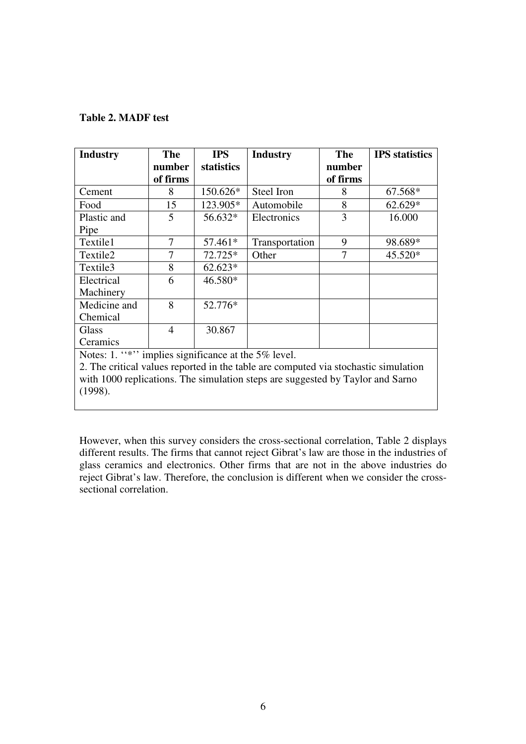## **Table 2. MADF test**

| <b>Industry</b>                                                                     | <b>The</b>     | <b>IPS</b>        | <b>Industry</b> | <b>The</b> | <b>IPS</b> statistics |  |  |
|-------------------------------------------------------------------------------------|----------------|-------------------|-----------------|------------|-----------------------|--|--|
|                                                                                     | number         | <b>statistics</b> |                 | number     |                       |  |  |
|                                                                                     | of firms       |                   |                 | of firms   |                       |  |  |
| Cement                                                                              | 8              | 150.626*          | Steel Iron      | 8          | 67.568*               |  |  |
| Food                                                                                | 15             | 123.905*          | Automobile      | 8          | 62.629*               |  |  |
| Plastic and                                                                         | 5              | 56.632*           | Electronics     | 3          | 16.000                |  |  |
| Pipe                                                                                |                |                   |                 |            |                       |  |  |
| Textile1                                                                            | 7              | 57.461*           | Transportation  | 9          | 98.689*               |  |  |
| Textile <sub>2</sub>                                                                | 7              | 72.725*           | Other           | 7          | 45.520*               |  |  |
| Textile3                                                                            | 8              | $62.623*$         |                 |            |                       |  |  |
| Electrical                                                                          | 6              | 46.580*           |                 |            |                       |  |  |
| Machinery                                                                           |                |                   |                 |            |                       |  |  |
| Medicine and                                                                        | 8              | 52.776*           |                 |            |                       |  |  |
| Chemical                                                                            |                |                   |                 |            |                       |  |  |
| Glass                                                                               | $\overline{4}$ | 30.867            |                 |            |                       |  |  |
| Ceramics                                                                            |                |                   |                 |            |                       |  |  |
| Notes: 1. "*" implies significance at the 5% level.                                 |                |                   |                 |            |                       |  |  |
| 2. The critical values reported in the table are computed via stochastic simulation |                |                   |                 |            |                       |  |  |

with 1000 replications. The simulation steps are suggested by Taylor and Sarno (1998).

However, when this survey considers the cross-sectional correlation, Table 2 displays different results. The firms that cannot reject Gibrat's law are those in the industries of glass ceramics and electronics. Other firms that are not in the above industries do reject Gibrat's law. Therefore, the conclusion is different when we consider the crosssectional correlation.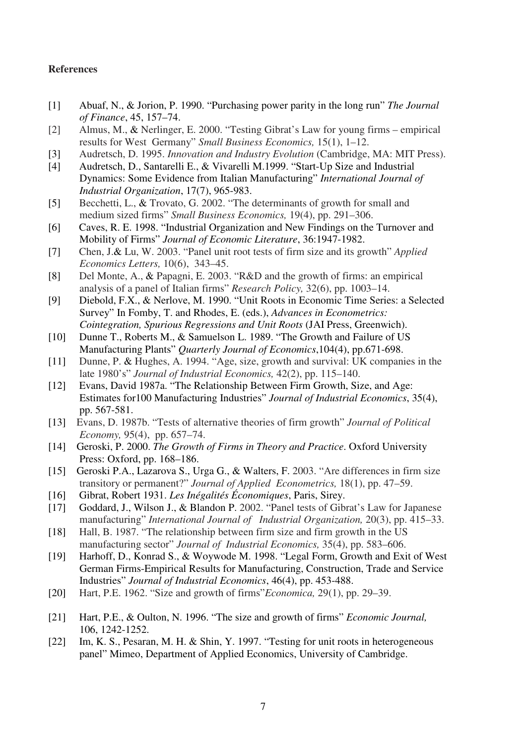## **References**

- [1] Abuaf, N., & Jorion, P. 1990. "Purchasing power parity in the long run" *The Journal of Finance*, 45, 157–74.
- [2] Almus, M., & Nerlinger, E. 2000. "Testing Gibrat's Law for young firms empirical results for West Germany" *Small Business Economics,* 15(1), 1–12.
- [3] Audretsch, D. 1995. *Innovation and Industry Evolution* (Cambridge, MA: MIT Press).
- [4] Audretsch, D., Santarelli E., & Vivarelli M.1999. "Start-Up Size and Industrial Dynamics: Some Evidence from Italian Manufacturing" *International Journal of Industrial Organization*, 17(7), 965-983.
- [5] Becchetti, L., & Trovato, G. 2002. "The determinants of growth for small and medium sized firms" *Small Business Economics,* 19(4), pp. 291–306.
- [6] Caves, R. E. 1998. "Industrial Organization and New Findings on the Turnover and Mobility of Firms" *Journal of Economic Literature*, 36:1947-1982.
- [7] Chen, J.& Lu, W. 2003. "Panel unit root tests of firm size and its growth" *Applied Economics Letters,* 10(6), 343–45.
- [8] Del Monte, A., & Papagni, E. 2003. "R&D and the growth of firms: an empirical analysis of a panel of Italian firms" *Research Policy,* 32(6), pp. 1003–14.
- [9] Diebold, F.X., & Nerlove, M. 1990. "Unit Roots in Economic Time Series: a Selected Survey" In Fomby, T. and Rhodes, E. (eds.), *Advances in Econometrics: Cointegration, Spurious Regressions and Unit Roots* (JAI Press, Greenwich).
- [10] Dunne T., Roberts M., & Samuelson L. 1989. "The Growth and Failure of US Manufacturing Plants" *Quarterly Journal of Economics*,104(4), pp.671-698.
- [11] Dunne, P. & Hughes, A. 1994. "Age, size, growth and survival: UK companies in the late 1980's" *Journal of Industrial Economics,* 42(2), pp. 115–140.
- [12] Evans, David 1987a. "The Relationship Between Firm Growth, Size, and Age: Estimates for100 Manufacturing Industries" *Journal of Industrial Economics*, 35(4), pp. 567-581.
- [13] Evans, D. 1987b. "Tests of alternative theories of firm growth" *Journal of Political Economy,* 95(4), pp. 657–74.
- [14] Geroski, P. 2000. *The Growth of Firms in Theory and Practice*. Oxford University Press: Oxford, pp. 168–186.
- [15] Geroski P.A., Lazarova S., Urga G., & Walters, F. 2003. "Are differences in firm size transitory or permanent?" *Journal of Applied Econometrics,* 18(1), pp. 47–59.
- [16] Gibrat, Robert 1931. *Les Inégalités Économiques*, Paris, Sirey.
- [17] Goddard, J., Wilson J., & Blandon P. 2002. "Panel tests of Gibrat's Law for Japanese manufacturing" *International Journal of Industrial Organization,* 20(3), pp. 415–33.
- [18] Hall, B. 1987. "The relationship between firm size and firm growth in the US manufacturing sector" *Journal of Industrial Economics,* 35(4), pp. 583–606.
- [19] Harhoff, D., Konrad S., & Woywode M. 1998. "Legal Form, Growth and Exit of West German Firms-Empirical Results for Manufacturing, Construction, Trade and Service Industries" *Journal of Industrial Economics*, 46(4), pp. 453-488.
- [20] Hart, P.E. 1962. "Size and growth of firms"*Economica,* 29(1), pp. 29–39.
- [21] Hart, P.E., & Oulton, N. 1996. "The size and growth of firms" *Economic Journal,* 106, 1242-1252.
- [22] Im, K. S., Pesaran, M. H. & Shin, Y. 1997. "Testing for unit roots in heterogeneous panel" Mimeo, Department of Applied Economics, University of Cambridge.